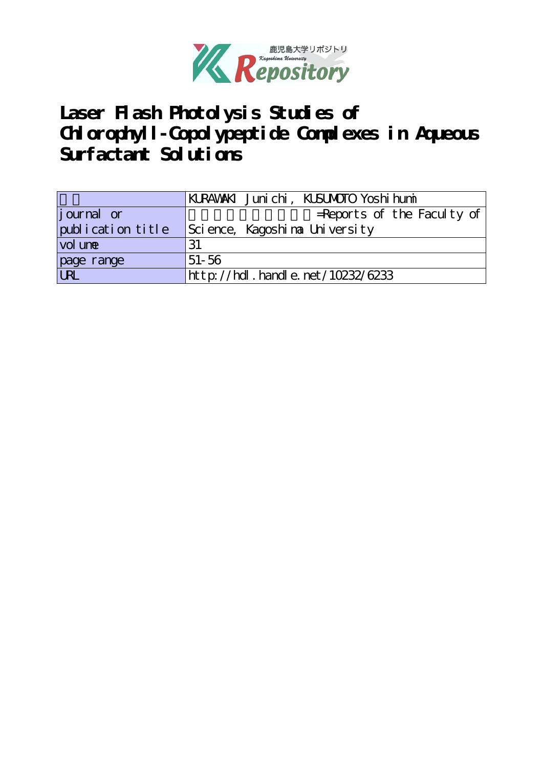

Laser Flash Photolysis Studies of **Chlorophyll-Copolypeptide Complexes in Aqueous Surfactant Solutions**

|                                     | KURAWAKI Junichi, KUSUMOTO Yoshi humi |
|-------------------------------------|---------------------------------------|
| <i>j</i> ournal or                  | $=$ Reports of the Faculty of         |
| publication title                   | Science, Kagoshina University         |
| vol une                             | 31                                    |
| page range                          | $51 - 56$                             |
| $\overline{\overline{\mathrm{UL}}}$ | http://hdl.handle.net/10232/6233      |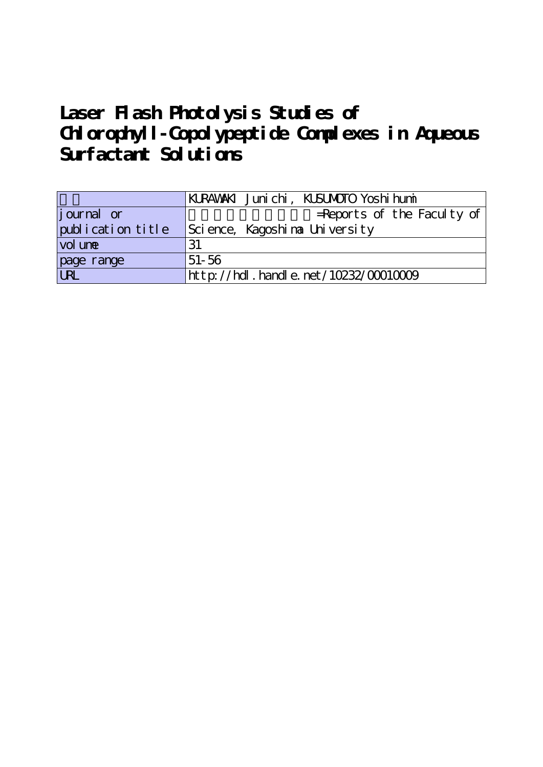# **Laser Flash Photolysis Studies of Chlorophyll-Copolypeptide Complexes in Aqueous Surfactant Solutions**

|                   | KURAWAKI Junichi, KUSUMOTO Yoshi humi |
|-------------------|---------------------------------------|
| journal or        | $=$ Reports of the Faculty of         |
| publication title | Science, Kagoshina University         |
| vol une           | 31                                    |
| page range        | $51 - 56$                             |
|                   | http://hdl.handle.net/10232/00010009  |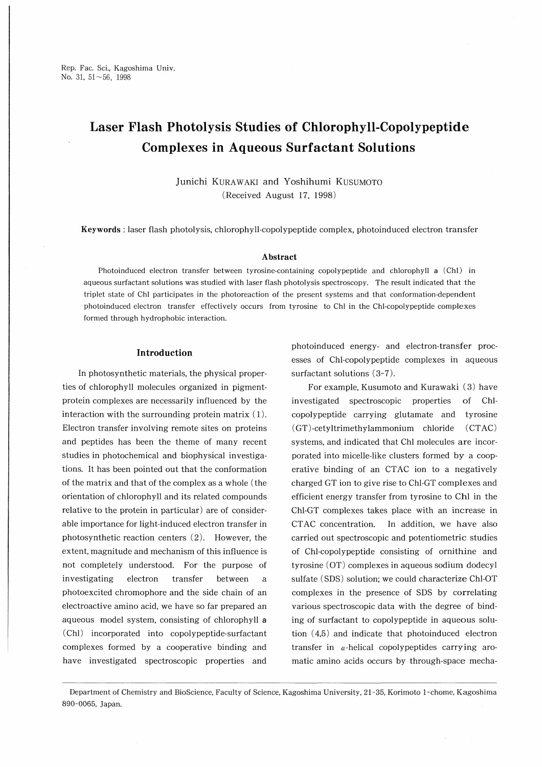# Laser Flash Photolysis Studies of Chlorophyll-Copolypeptide Complexes in Aqueous Surfactant Solutions

Junichi KuRAWAKl and Yoshihumi Kusumoto (Received August 17, 1998)

Keywords : laser flash photolysis, chlorophylLcopolypeptide complex, photoinduced electron transfer

# Abstract

Photoinduced electron transfer between tyrosine-containing copolypeptide and chlorophyll a (Ch1) in aqueous surfactant solutions was studied with laser flash photolysis spectroscopy. The result indicated that the triplet state of Chi participates in the photoreaction of the present systems and that conformation-dependent photoinduced electron transfer effectively occurs from tyrosine to Chl in the Chl-copolypeptide complexes formed through hydrophobic interaction.

# Introduction

In photosynthetic materials, the physical properties of chlorophyll molecules organized in pigmentprotein complexes are necessarily influenced by the interaction with the surrounding protein matrix  $(1)$ . Electron transfer involving remote sites on proteins and peptides has been the theme of many recent studies in photochemical and biophysical investigations. It has been pointed out that the conformation of the matrix and that of the complex as a whole (the orientation of chlorophyll and its related compounds relative to the protein in particular) are of considerable importance for light-induced electron transfer in photosynthetic reaction centers (2). However, the extent, magnitude and mechanism of this influence is not completely understood. For the purpose of investigating electron transfer between a photoexcited chromophore and the side chain of an electroactive amino acid, we have so far prepared an aqueous model system, consisting of chlorophyll a (Chi) incorporated into copolypeptide-surfactant complexes formed by a cooperative binding and have investigated spectroscopic properties and photoinduced energy- and electron-transfer processes of Chl-copolypeptide complexes in aqueous surfactant solutions (3-7).

For example, Kusumoto and Kurawaki (3) have investigated spectroscopic properties of ChL copolypeptide carrying glutamate and tyrosine (GT)-cetyltrimethylammonium chloride (CTAC) systems, and indicated that Chl molecules are incorporated into micelle-like clusters formed by a cooperative binding of an CTAC ion to a negatively charged GT ion to give rise to ChLGT complexes and efficient energy transfer from tyrosine to Chi in the ChLGT complexes takes place with an increase in CTAC concentration. In addition, we have also carried out spectroscopic and potentiometric studies of Chl-copolypeptide consisting of ormthine and tyrosine (OT) complexes in aqueous sodium dodecyl sulfate (SDS) solution; we could characterize Chl-OT complexes in the presence of SDS by correlating various spectroscopic data with the degree of binding of surfactant to copolypeptide in aqueous solution (4,5) and indicate that photoinduced electron transfer in  $\alpha$ -helical copolypeptides carrying aromatic amino acids occurs by through-space mecha-

Department of Chemistry and BioScience, Faculty of Science, Kagoshima University, 2ト35, Korimoto 1-chome, Kagoshima 890-0065, Japan.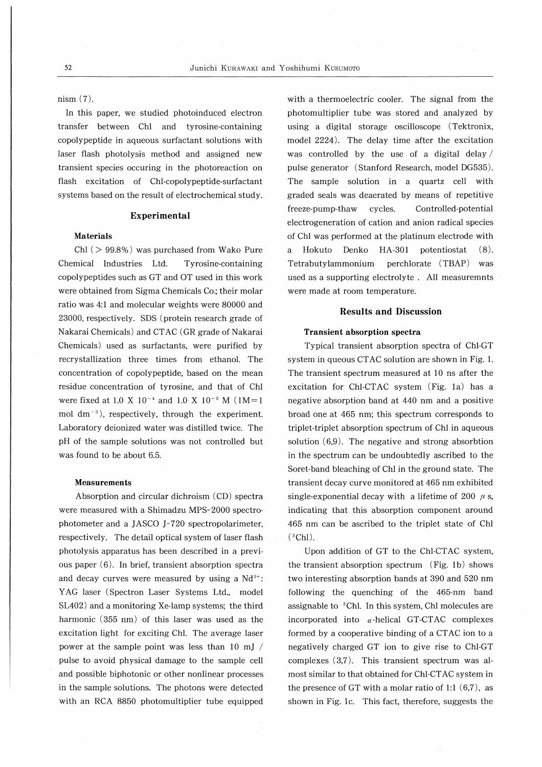nism (7).

In this paper, we studied photoinduced electron transfer between Chi and tyrosine-containing copolypeptide in aqueous surfactant solutions with laser flash photolysis method and assigned new transient species occuring in the photoreaction on flash excitation of Chl-copolypeptide-surfactant systems based on the result of electrochemical study.

# Experimental

# Materials

Chi (> 99.8%) was purchased from Wako Pure Chemical Industries Ltd. Tyrosine-containing copolypeptides such as GT and OT used in this work were obtained from Sigma Chemicals Co.; their molar ratio was 4:1 and molecular weights were 80000 and 23000, respectively. SDS (protein research grade of Nakarai Chemicals) and CTAC (GR grade of Nakarai Chemicals) used as surfactants, were purified by recrystallization three times from ethanol. The concentration of copolypeptide, based on the mean residue concentration of tyrosine, and that of Chi were fixed at 1.0 X  $10^{-4}$  and 1.0 X  $10^{-5}$  M  $(1M=1)$ mol  $dm^{-3}$ ), respectively, through the experiment. Laboratory deionized water was distilled twice. The pH of the sample solutions was not controlled but was found to be about 6.5.

#### Measurements

Absorption and circular dichroism (CD) spectra were measured with a Shimadzu MPS-2000 spectrophotometer and a JASCO J-720 spectropolarimeter, respectively. The detail optical system of laser flash photolysis apparatus has been described in a previous paper (6). In brief, transient absorption spectra and decay curves were measured by using a  $Nd^{3+}$ : YAG laser (Spectron Laser Systems Ltd., model SL402) and a monitoring Xe-lamp systems; the third harmonic (355 nm) of this laser was used as the excitation light for exciting Chi. The average laser power at the sample point was less than 10 mj / pulse to avoid physical damage to the sample cell and possible biphotonic or other nonlinear processes in the sample solutions. The photons were detected with an RCA 8850 photomultiplier tube equipped

with a thermoelectric cooler. The signal from the photomultiplier tube was stored and analyzed by using a digital storage oscilloscope (Tektronix, model 2224). The delay time after the excitation was controlled by the use of a digital delay/ pulse generator (Stanford Research, model DG535). The sample solution in a quartz cell with graded seals was deaerated by means of repetitive freeze-pump-thaw cycles. Controlled-potential electrogeneration of cation and anion radical species of Chi was performed at the platinum electrode with a Hokuto Denko HA-301 potentiostat (8). Tetrabutylammonium perchlorate (TBAP) was used as a supporting electrolyte. All measuremnts were made at room temperature.

# Results and Discussion

#### Transient absorption spectra

Typical transient absorption spectra of Chl-GT system in queous CTAC solution are shown in Fig. 1. The transient spectrum measured at 10 ns after the excitation for Chl-CTAC system (Fig. 1a) has a negative absorption band at 440 nm and a positive broad one at 465 nm; this spectrum corresponds to triplet-triplet absorption spectrum of Chi in aqueous solution (6,9). The negative and strong absorbtion in the spectrum can be undoubtedly ascribed to the Soret-band bleaching of Chi in the ground state. The transient decay curve monitored at 465 nm exhibited single-exponential decay with a lifetime of 200  $\mu$  s, indicating that this absorption component around 465 nm can be ascribed to the triplet state of Chi  $(^{3}Ch1).$ 

Upon addition of GT to the Chl-CTAC system, the transient absorption spectrum (Fig. lb) shows two interesting absorption bands at 390 and 520 nm following the quenching of the 465-nm band assignable to 3Chl. In this system, Chi molecules are incorporated into  $\alpha$ -helical GT-CTAC complexes formed by a cooperative binding of a CTAC ion to a negatively charged GT ion to give rise to Chl-GT complexes (3,7). This transient spectrum was almost similar to that obtained for Chi-CTAC system in the presence of GT with a molar ratio of 1:1  $(6,7)$ , as shown in Fig. lc. This fact, therefore, suggests the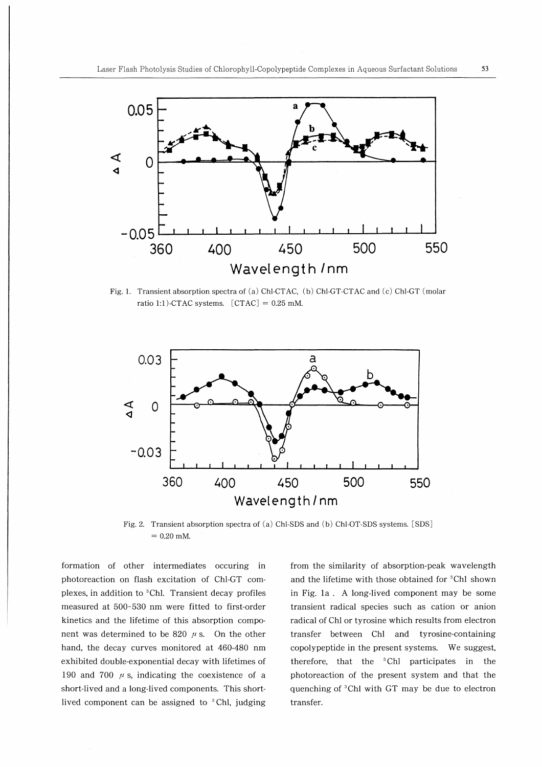

Fig. 1. Transient absorption spectra of (a) Chl-CTAC, (b) Chl-GT-CTAC and (c) Chl-GT (molar ratio 1:1)-CTAC systems.  $[CTAC] = 0.25$  mM.



Fig. 2. Transient absorption spectra of (a) Chl-SDS and (b) Chl-OT-SDS systems. [SDS]  $= 0.20$  mM.

formation of other intermediates occuring in photoreaction on flash excitation of Chl-GT complexes, in addition to <sup>3</sup>Chl. Transient decay profiles measured at 500-530 nm were fitted to first-order kinetics and the lifetime of this absorption component was determined to be 820  $\mu$  s. On the other hand, the decay curves monitored at 460-480 nm exhibited double-exponential decay with lifetimes of 190 and 700  $\mu$  s, indicating the coexistence of a short-lived and a long-lived components. This shortlived component can be assigned to  ${}^{3}$ Chl, judging

from the similarity of absorption-peak wavelength and the lifetime with those obtained for <sup>3</sup>Chl shown in Fig. la. A long-lived component may be some transient radical species such as cation or anion radical of Chi or tyrosine which results from electron transfer between Chl and tyrosine-containing copolypeptide in the present systems. We suggest, therefore, that the 3Chl participates in the photoreaction of the present system and that the quenching of 3Chl with GT may be due to electron transfer.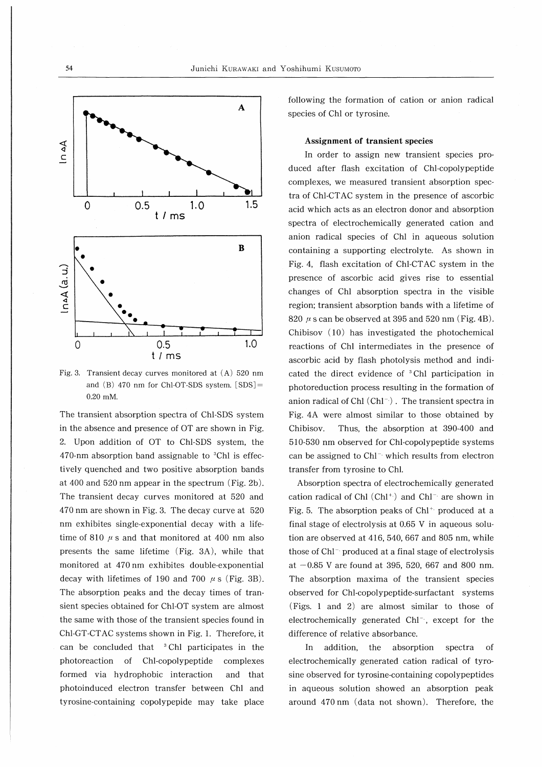

Fig. 3. Transient decay curves monitored at (A) 520 nm and (B) 470 nm for Chl-OT-SDS system. [SDS]- 0.20 mM.

The transient absorption spectra of Chl-SDS system in the absence and presence of OT are shown in Fig. 2. Upon addition of OT to Chl-SDS system, the  $470$ -nm absorption band assignable to  ${}^{3}$ Chl is effectively quenched and two positive absorption bands at 400 and 520nm appear in the spectrum (Fig. 2b). The transient decay curves monitored at 520 and 470nm are shown in Fig. 3. The decay curve at 520 nm exhibites single-exponential decay with a lifetime of 810  $\mu$  s and that monitored at 400 nm also presents the same lifetime (Fig. 3A), while that monitored at 470 nm exhibites double-exponential decay with lifetimes of 190 and 700  $\mu$  s (Fig. 3B). The absorption peaks and the decay times of transient species obtained for Chl-OT system are almost the same with those of the transient species found in Chl-GT-CTAC systems shown in Fig. 1. Therefore, it can be concluded that  $3$  Chl participates in the photoreaction of Chl-copolypeptide complexes formed via hydrophobic interaction and that photomduced electron transfer between Chi and tyrosine-containing copolypepide may take place following the formation of cation or anion radical species of Chi or tyrosine.

# Assignment of transient species

In order to assign new transient species produced after flash excitation of Chl-copolypeptide complexes, we measured transient absorption spectra of Chl-CTAC system in the presence of ascorbic acid which acts as an electron donor and absorption spectra of electrochemically generated cation and anion radical species of Chi in aqueous solution containing a supporting electrolyte. As shown in Fig. 4, flash excitation of Chl-CTAC system in the presence of ascorbic acid gives rise to essential changes of Chi absorption spectra in the visible region; transient absorption bands with a lifetime of 820  $\mu$  s can be observed at 395 and 520 nm (Fig. 4B). Chibisov (10) has investigated the photochemical reactions of Chi intermediates in the presence of ascorbic acid by flash photolysis method and indicated the direct evidence of  ${}^{3}$ Chl participation in photoreduction process resulting in the formation of anion radical of Chl $(Chl^{-})$ . The transient spectra in Fig. 4A were almost similar to those obtained by Chibisov. Thus, the absorption at 390-400 and 510-530 nm observed for Chl-copolypeptide systems can be assigned to  $Ch<sup>-</sup>$  which results from electron transfer from tyrosine to Chi.

Absorption spectra of electrochemically generated cation radical of Chl $(Ch1^+)$  and Chl<sup>-</sup> are shown in Fig. 5. The absorption peaks of  $Chl^+$  produced at a final stage of electrolysis at 0.65 V in aqueous solution are observed at 416, 540, 667 and 805 nm, while those of Chl<sup>-</sup> produced at a final stage of electrolysis at  $-0.85$  V are found at 395, 520, 667 and 800 nm. The absorption maxima of the transient species observed for Chl-copolypeptide-surfactant systems (Figs. 1 and 2) are almost similar to those of electrochemically generated  $Chl^{-}$ , except for the difference of relative absorbance.

In addition, the absorption spectra of electrochemically generated cation radical of tyrosine observed for tyrosine-containing copolypeptides in aqueous solution showed an absorption peak around 470nm (data not shown). Therefore, the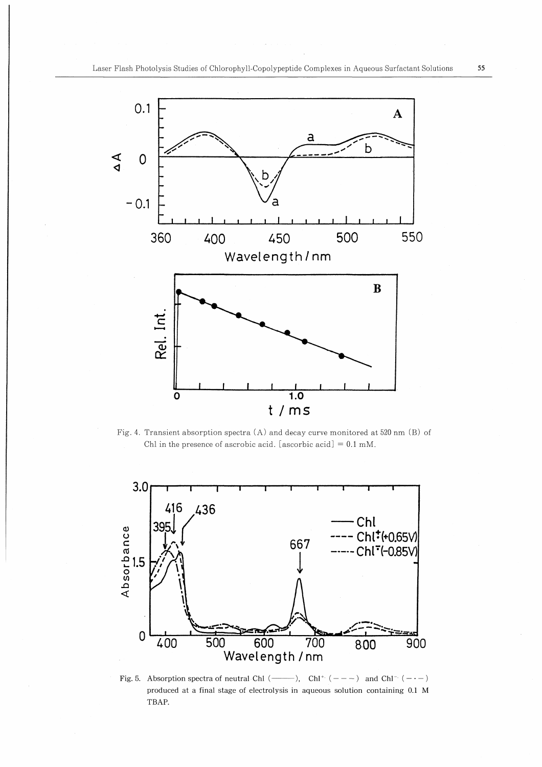

Fig. 4. Transient absorption spectra (A) and decay curve monitored at 520 nm (B) of Chl in the presence of ascrobic acid, [ascorbic acid] =  $0.1 \text{ mM}$ .



Fig. 5. Absorption spectra of neutral Chi ( $\longrightarrow$ ), Chi<sup>+</sup> (---) and Chi<sup>-</sup> (-·-) produced at a final stage of electrolysis in aqueous solution containing 0.1 M TBAP.